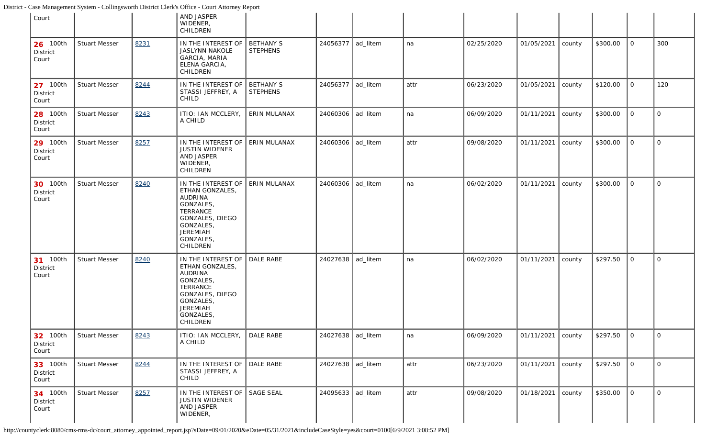<span id="page-0-0"></span>

| Court                                |                      |      | AND JASPER<br>WIDENER,<br>CHILDREN                                                                                                                    |                                     |                     |          |      |            |                     |        |          |              |                |
|--------------------------------------|----------------------|------|-------------------------------------------------------------------------------------------------------------------------------------------------------|-------------------------------------|---------------------|----------|------|------------|---------------------|--------|----------|--------------|----------------|
| 26 100th<br>District<br>Court        | <b>Stuart Messer</b> | 8231 | IN THE INTEREST OF<br><b>JASLYNN NAKOLE</b><br>GARCIA, MARIA<br>ELENA GARCIA,<br>CHILDREN                                                             | <b>BETHANY S</b><br><b>STEPHENS</b> | 24056377            | ad_litem | na   | 02/25/2020 | 01/05/2021          | county | \$300.00 | $\mathsf{O}$ | 300            |
| 27 100th<br>District<br>Court        | <b>Stuart Messer</b> | 8244 | IN THE INTEREST OF<br>STASSI JEFFREY, A<br>CHILD                                                                                                      | <b>BETHANY S</b><br><b>STEPHENS</b> | 24056377            | ad_litem | attr | 06/23/2020 | 01/05/2021          | county | \$120.00 | $\mathbf 0$  | 120            |
| 28 100th<br>District<br>Court        | <b>Stuart Messer</b> | 8243 | ITIO: IAN MCCLERY,<br>A CHILD                                                                                                                         | ERIN MULANAX                        | 24060306   ad_litem |          | na   | 06/09/2020 | 01/11/2021          | county | \$300.00 | $\mathbf 0$  | 0              |
| 29 100th<br>District<br>Court        | <b>Stuart Messer</b> | 8257 | IN THE INTEREST OF<br><b>JUSTIN WIDENER</b><br>AND JASPER<br>WIDENER,<br>CHILDREN                                                                     | ERIN MULANAX                        | 24060306            | ad_litem | attr | 09/08/2020 | 01/11/2021          | county | \$300.00 | $\mathsf{O}$ | 0              |
| 30 100th<br>District<br>Court        | <b>Stuart Messer</b> | 8240 | IN THE INTEREST OF<br>ETHAN GONZALES,<br>AUDRINA<br>GONZALES,<br>TERRANCE<br>GONZALES, DIEGO<br>GONZALES,<br><b>JEREMIAH</b><br>GONZALES,<br>CHILDREN | ERIN MULANAX                        | 24060306            | ad_litem | na   | 06/02/2020 | 01/11/2021          | county | \$300.00 | $\mathbf{O}$ | 0              |
| 31 100th<br>District<br>Court        | <b>Stuart Messer</b> | 8240 | IN THE INTEREST OF<br>ETHAN GONZALES,<br>AUDRINA<br>GONZALES,<br>TERRANCE<br>GONZALES, DIEGO<br>GONZALES,<br><b>JEREMIAH</b><br>GONZALES,<br>CHILDREN | DALE RABE                           | 24027638            | ad_litem | na   | 06/02/2020 | 01/11/2021          | county | \$297.50 | $\mathbf{O}$ | 0              |
| 32 100th<br>District<br>Court        | <b>Stuart Messer</b> | 8243 | ITIO: IAN MCCLERY,   DALE RABE<br>A CHILD                                                                                                             |                                     | 24027638 ad_litem   |          | na   | 06/09/2020 | 01/11/2021   county |        | \$297.50 | $\vert$ 0    | $\mathbf{O}$   |
| 33 100th<br>District<br>Court        | <b>Stuart Messer</b> | 8244 | IN THE INTEREST OF<br>STASSI JEFFREY, A<br>CHILD                                                                                                      | DALE RABE                           | 24027638 ad_litem   |          | attr | 06/23/2020 | 01/11/2021          | county | \$297.50 | $\mathsf{O}$ | $\mathsf{O}$   |
| <b>34</b> 100th<br>District<br>Court | <b>Stuart Messer</b> | 8257 | IN THE INTEREST OF SAGE SEAL<br><b>JUSTIN WIDENER</b><br>AND JASPER<br>WIDENER,                                                                       |                                     | 24095633 ad_litem   |          | attr | 09/08/2020 | 01/18/2021          | county | \$350.00 | $\mathsf{O}$ | $\overline{O}$ |

http://countyclerk:8080/cms-rms-dc/court\_attorney\_appointed\_report.jsp?sDate=09/01/2020&eDate=05/31/2021&includeCaseStyle=yes&court=0100[6/9/2021 3:08:52 PM]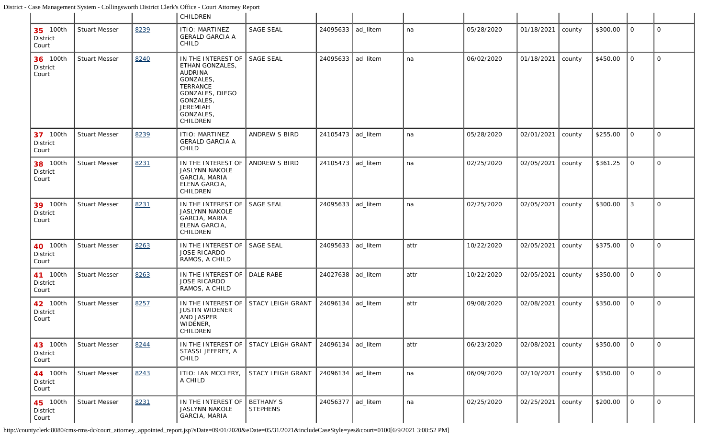|                                      |                      |      | CHILDREN                                                                                                                                                     |                              |                     |          |      |            |            |        |          |             |             |
|--------------------------------------|----------------------|------|--------------------------------------------------------------------------------------------------------------------------------------------------------------|------------------------------|---------------------|----------|------|------------|------------|--------|----------|-------------|-------------|
| 35 100th<br>District<br>Court        | <b>Stuart Messer</b> | 8239 | ITIO: MARTINEZ<br><b>GERALD GARCIA A</b><br>CHILD                                                                                                            | <b>SAGE SEAL</b>             | 24095633            | ad_litem | na   | 05/28/2020 | 01/18/2021 | county | \$300.00 | $\mathbf 0$ | $\mathbf 0$ |
| 36 100th<br>District<br>Court        | <b>Stuart Messer</b> | 8240 | IN THE INTEREST OF<br>ETHAN GONZALES,<br>AUDRINA<br>GONZALES,<br><b>TERRANCE</b><br>GONZALES, DIEGO<br>GONZALES,<br><b>JEREMIAH</b><br>GONZALES,<br>CHILDREN | <b>SAGE SEAL</b>             | 24095633            | ad_litem | na   | 06/02/2020 | 01/18/2021 | county | \$450.00 | $\mathbf 0$ | $\mathbf 0$ |
| 37 100th<br>District<br>Court        | <b>Stuart Messer</b> | 8239 | ITIO: MARTINEZ<br><b>GERALD GARCIA A</b><br>CHILD                                                                                                            | ANDREW S BIRD                | 24105473            | ad_litem | na   | 05/28/2020 | 02/01/2021 | county | \$255.00 | $\mathbf 0$ | $\mathbf 0$ |
| 38 100th<br>District<br>Court        | <b>Stuart Messer</b> | 8231 | IN THE INTEREST OF<br><b>JASLYNN NAKOLE</b><br>GARCIA, MARIA<br>ELENA GARCIA,<br>CHILDREN                                                                    | ANDREW S BIRD                | 24105473            | ad_litem | na   | 02/25/2020 | 02/05/2021 | county | \$361.25 | $\mathbf 0$ | $\Omega$    |
| 39 100th<br><b>District</b><br>Court | <b>Stuart Messer</b> | 8231 | IN THE INTEREST OF<br><b>JASLYNN NAKOLE</b><br>GARCIA, MARIA<br>ELENA GARCIA,<br>CHILDREN                                                                    | <b>SAGE SEAL</b>             | 24095633            | ad_litem | na   | 02/25/2020 | 02/05/2021 | county | \$300.00 | 3           | $\mathbf 0$ |
| 40 100th<br>District<br>Court        | <b>Stuart Messer</b> | 8263 | IN THE INTEREST OF<br><b>JOSE RICARDO</b><br>RAMOS, A CHILD                                                                                                  | <b>SAGE SEAL</b>             | 24095633            | ad_litem | attr | 10/22/2020 | 02/05/2021 | county | \$375.00 | $\mathbf 0$ | $\mathbf 0$ |
| 41 100th<br>District<br>Court        | <b>Stuart Messer</b> | 8263 | IN THE INTEREST OF<br><b>JOSE RICARDO</b><br>RAMOS, A CHILD                                                                                                  | DALE RABE                    | 24027638            | ad_litem | attr | 10/22/2020 | 02/05/2021 | county | \$350.00 | $\mathbf 0$ | $\Omega$    |
| 42 100th<br>District<br>Court        | <b>Stuart Messer</b> | 8257 | IN THE INTEREST OF<br><b>JUSTIN WIDENER</b><br>AND JASPER<br>WIDENER,<br>CHILDREN                                                                            | STACY LEIGH GRANT            | 24096134            | ad_litem | attr | 09/08/2020 | 02/08/2021 | county | \$350.00 | $\mathbf 0$ | $\mathbf 0$ |
| 43 100th<br>District<br>Court        | <b>Stuart Messer</b> | 8244 | IN THE INTEREST OF<br>STASSI JEFFREY, A<br>CHILD                                                                                                             | STACY LEIGH GRANT            | 24096134            | ad litem | attr | 06/23/2020 | 02/08/2021 | county | \$350.00 | $\mathbf 0$ | $\mathbf 0$ |
| 44 100th<br>District<br>Court        | <b>Stuart Messer</b> | 8243 | ITIO: IAN MCCLERY,<br>A CHILD                                                                                                                                | STACY LEIGH GRANT            | 24096134            | ad_litem | na   | 06/09/2020 | 02/10/2021 | county | \$350.00 | $\mathbf 0$ | $\mathbf 0$ |
| 45 100th<br>District<br>Court        | <b>Stuart Messer</b> | 8231 | IN THE INTEREST OF<br><b>JASLYNN NAKOLE</b><br>GARCIA, MARIA                                                                                                 | BETHANY S<br><b>STEPHENS</b> | 24056377   ad_litem |          | na   | 02/25/2020 | 02/25/2021 | county | \$200.00 | $\mathbf 0$ | $\mathbf 0$ |

http://countyclerk:8080/cms-rms-dc/court\_attorney\_appointed\_report.jsp?sDate=09/01/2020&eDate=05/31/2021&includeCaseStyle=yes&court=0100[6/9/2021 3:08:52 PM]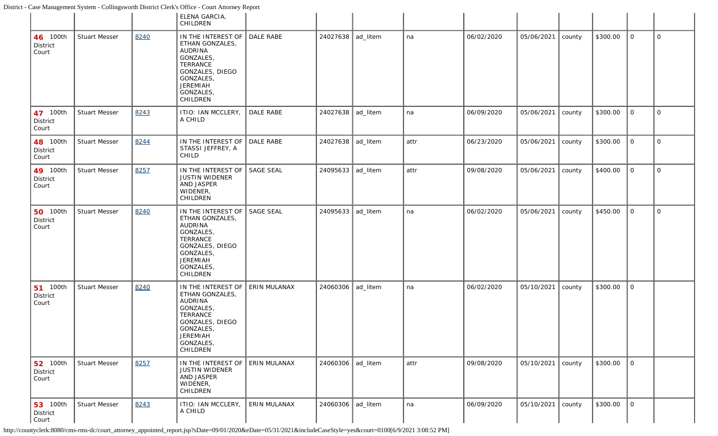|                                      |                      |      | ELENA GARCIA,<br>CHILDREN                                                                                                                             |                     |                   |          |      |            |            |        |          |                |              |
|--------------------------------------|----------------------|------|-------------------------------------------------------------------------------------------------------------------------------------------------------|---------------------|-------------------|----------|------|------------|------------|--------|----------|----------------|--------------|
| 46 100th<br>District<br>Court        | <b>Stuart Messer</b> | 8240 | IN THE INTEREST OF<br>ETHAN GONZALES,<br>AUDRINA<br>GONZALES,<br>TERRANCE<br>GONZALES, DIEGO<br>GONZALES,<br><b>JEREMIAH</b><br>GONZALES,<br>CHILDREN | DALE RABE           | 24027638 ad_litem |          | na   | 06/02/2020 | 05/06/2021 | county | \$300.00 | $\mathbf 0$    | $\Omega$     |
| 47 100th<br>District<br>Court        | <b>Stuart Messer</b> | 8243 | ITIO: IAN MCCLERY,<br>A CHILD                                                                                                                         | <b>DALE RABE</b>    | 24027638          | ad_litem | na   | 06/09/2020 | 05/06/2021 | county | \$300.00 | $\mathbf 0$    | $\mathsf{O}$ |
| 48 100th<br>District<br>Court        | <b>Stuart Messer</b> | 8244 | IN THE INTEREST OF<br>STASSI JEFFREY, A<br>CHILD                                                                                                      | DALE RABE           | 24027638          | ad_litem | attr | 06/23/2020 | 05/06/2021 | county | \$300.00 | $\mathbf 0$    | $\mathbf 0$  |
| 49 100th<br>District<br>Court        | <b>Stuart Messer</b> | 8257 | IN THE INTEREST OF<br>JUSTIN WIDENER<br>AND JASPER<br>WIDENER,<br>CHILDREN                                                                            | <b>SAGE SEAL</b>    | 24095633          | ad_litem | attr | 09/08/2020 | 05/06/2021 | county | \$400.00 | $\mathbf 0$    | $\Omega$     |
| <b>50</b> 100th<br>District<br>Court | <b>Stuart Messer</b> | 8240 | IN THE INTEREST OF<br>ETHAN GONZALES,<br>AUDRINA<br>GONZALES,<br>TERRANCE<br>GONZALES, DIEGO<br>GONZALES,<br>JEREMIAH<br>GONZALES,<br>CHILDREN        | <b>SAGE SEAL</b>    | 24095633          | ad_litem | na   | 06/02/2020 | 05/06/2021 | county | \$450.00 | $\mathbf 0$    | $\Omega$     |
| <b>51</b> 100th<br>District<br>Court | <b>Stuart Messer</b> | 8240 | IN THE INTEREST OF<br>ETHAN GONZALES,<br>AUDRINA<br>GONZALES,<br>TERRANCE<br>GONZALES, DIEGO<br>GONZALES,<br>JEREMIAH<br>GONZALES,<br>CHILDREN        | ERIN MULANAX        | 24060306          | ad_litem | na   | 06/02/2020 | 05/10/2021 | county | \$300.00 | $\mathbf 0$    |              |
| <b>52</b> 100th<br>District<br>Court | <b>Stuart Messer</b> | 8257 | IN THE INTEREST OF<br><b>JUSTIN WIDENER</b><br>AND JASPER<br>WIDENER,<br>CHILDREN                                                                     | <b>ERIN MULANAX</b> | 24060306          | ad_litem | attr | 09/08/2020 | 05/10/2021 | county | \$300.00 | $\overline{O}$ |              |
| <b>53</b> 100th<br>District<br>Court | <b>Stuart Messer</b> | 8243 | ITIO: IAN MCCLERY,<br>A CHILD                                                                                                                         | ERIN MULANAX        | 24060306          | ad_litem | na   | 06/09/2020 | 05/10/2021 | county | \$300.00 | $\overline{O}$ |              |

http://countyclerk:8080/cms-rms-dc/court\_attorney\_appointed\_report.jsp?sDate=09/01/2020&eDate=05/31/2021&includeCaseStyle=yes&court=0100[6/9/2021 3:08:52 PM]